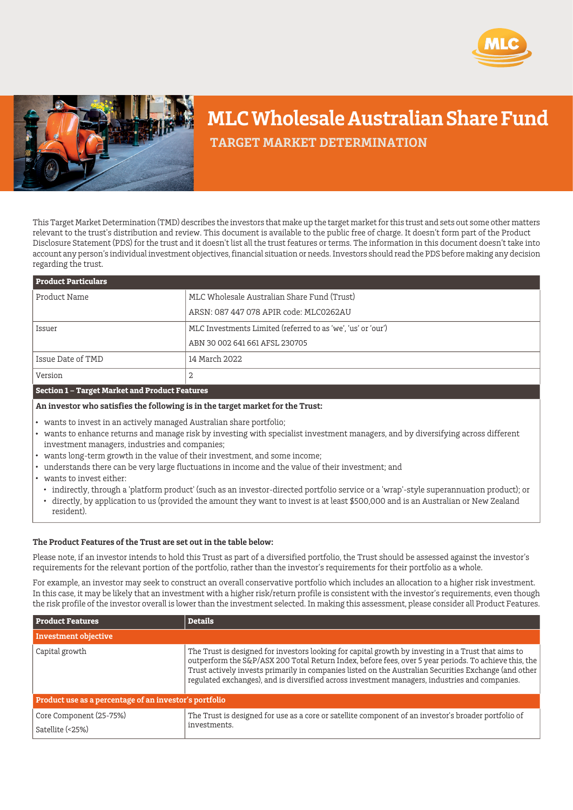



# **MLC Wholesale Australian Share Fund**

 **TARGET MARKET DETERMINATION**

This Target Market Determination (TMD) describes the investors that make up the target market for this trust and sets out some other matters relevant to the trust's distribution and review. This document is available to the public free of charge. It doesn't form part of the Product Disclosure Statement (PDS) for the trust and it doesn't list all the trust features or terms. The information in this document doesn't take into account any person's individual investment objectives, financial situation or needs. Investors should read the PDS before making any decision regarding the trust.

| <b>Product Particulars</b> |                                                              |  |
|----------------------------|--------------------------------------------------------------|--|
| Product Name               | MLC Wholesale Australian Share Fund (Trust)                  |  |
|                            | ARSN: 087 447 078 APIR code: MLC0262AU                       |  |
| Issuer                     | MLC Investments Limited (referred to as 'we', 'us' or 'our') |  |
|                            | ABN 30 002 641 661 AFSL 230705                               |  |
| Issue Date of TMD          | 14 March 2022                                                |  |
| Version                    | 2                                                            |  |
|                            |                                                              |  |

### **Section 1 – Target Market and Product Features**

## **An investor who satisfies the following is in the target market for the Trust:**

- wants to invest in an actively managed Australian share portfolio;
- wants to enhance returns and manage risk by investing with specialist investment managers, and by diversifying across different investment managers, industries and companies;
- wants long-term growth in the value of their investment, and some income;
- understands there can be very large fluctuations in income and the value of their investment; and
- wants to invest either:
	- indirectly, through a 'platform product' (such as an investor-directed portfolio service or a 'wrap'-style superannuation product); or
	- directly, by application to us (provided the amount they want to invest is at least \$500,000 and is an Australian or New Zealand resident).

### **The Product Features of the Trust are set out in the table below:**

Please note, if an investor intends to hold this Trust as part of a diversified portfolio, the Trust should be assessed against the investor's requirements for the relevant portion of the portfolio, rather than the investor's requirements for their portfolio as a whole.

For example, an investor may seek to construct an overall conservative portfolio which includes an allocation to a higher risk investment. In this case, it may be likely that an investment with a higher risk/return profile is consistent with the investor's requirements, even though the risk profile of the investor overall is lower than the investment selected. In making this assessment, please consider all Product Features.

| <b>Product Features</b>                                | <b>Details</b>                                                                                                                                                                                                                                                                                                                                                                                                          |  |
|--------------------------------------------------------|-------------------------------------------------------------------------------------------------------------------------------------------------------------------------------------------------------------------------------------------------------------------------------------------------------------------------------------------------------------------------------------------------------------------------|--|
| Investment objective                                   |                                                                                                                                                                                                                                                                                                                                                                                                                         |  |
| Capital growth                                         | The Trust is designed for investors looking for capital growth by investing in a Trust that aims to<br>outperform the S&P/ASX 200 Total Return Index, before fees, over 5 year periods. To achieve this, the<br>Trust actively invests primarily in companies listed on the Australian Securities Exchange (and other<br>regulated exchanges), and is diversified across investment managers, industries and companies. |  |
| Product use as a percentage of an investor's portfolio |                                                                                                                                                                                                                                                                                                                                                                                                                         |  |
| Core Component (25-75%)<br>Satellite (<25%)            | The Trust is designed for use as a core or satellite component of an investor's broader portfolio of<br>investments.                                                                                                                                                                                                                                                                                                    |  |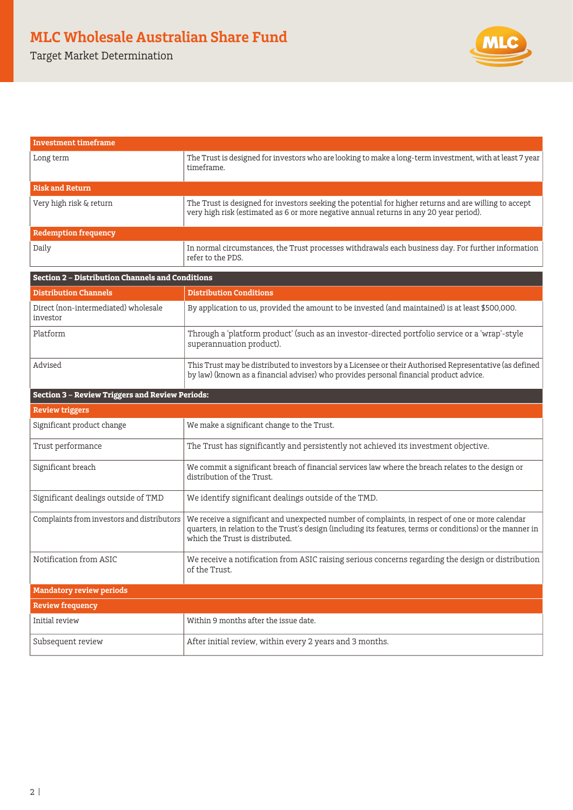Target Market Determination



| <b>Investment timeframe</b>                             |                                                                                                                                                                                                                                                   |  |
|---------------------------------------------------------|---------------------------------------------------------------------------------------------------------------------------------------------------------------------------------------------------------------------------------------------------|--|
| Long term                                               | The Trust is designed for investors who are looking to make a long-term investment, with at least 7 year<br>timeframe.                                                                                                                            |  |
| <b>Risk and Return</b>                                  |                                                                                                                                                                                                                                                   |  |
| Very high risk & return                                 | The Trust is designed for investors seeking the potential for higher returns and are willing to accept<br>very high risk (estimated as 6 or more negative annual returns in any 20 year period).                                                  |  |
| <b>Redemption frequency</b>                             |                                                                                                                                                                                                                                                   |  |
| Daily                                                   | In normal circumstances, the Trust processes withdrawals each business day. For further information<br>refer to the PDS.                                                                                                                          |  |
| <b>Section 2 - Distribution Channels and Conditions</b> |                                                                                                                                                                                                                                                   |  |
| <b>Distribution Channels</b>                            | <b>Distribution Conditions</b>                                                                                                                                                                                                                    |  |
| Direct (non-intermediated) wholesale<br>investor        | By application to us, provided the amount to be invested (and maintained) is at least \$500,000.                                                                                                                                                  |  |
| Platform                                                | Through a 'platform product' (such as an investor-directed portfolio service or a 'wrap'-style<br>superannuation product).                                                                                                                        |  |
| Advised                                                 | This Trust may be distributed to investors by a Licensee or their Authorised Representative (as defined<br>by law) (known as a financial adviser) who provides personal financial product advice.                                                 |  |
| <b>Section 3 - Review Triggers and Review Periods:</b>  |                                                                                                                                                                                                                                                   |  |
| <b>Review triggers</b>                                  |                                                                                                                                                                                                                                                   |  |
| Significant product change                              | We make a significant change to the Trust.                                                                                                                                                                                                        |  |
| Trust performance                                       | The Trust has significantly and persistently not achieved its investment objective.                                                                                                                                                               |  |
| Significant breach                                      | We commit a significant breach of financial services law where the breach relates to the design or<br>distribution of the Trust.                                                                                                                  |  |
| Significant dealings outside of TMD                     | We identify significant dealings outside of the TMD.                                                                                                                                                                                              |  |
| Complaints from investors and distributors              | We receive a significant and unexpected number of complaints, in respect of one or more calendar<br>quarters, in relation to the Trust's design (including its features, terms or conditions) or the manner in<br>which the Trust is distributed. |  |
| Notification from ASIC                                  | We receive a notification from ASIC raising serious concerns regarding the design or distribution<br>of the Trust.                                                                                                                                |  |
| <b>Mandatory review periods</b>                         |                                                                                                                                                                                                                                                   |  |
| <b>Review frequency</b>                                 |                                                                                                                                                                                                                                                   |  |
| Initial review                                          | Within 9 months after the issue date.                                                                                                                                                                                                             |  |
| Subsequent review                                       | After initial review, within every 2 years and 3 months.                                                                                                                                                                                          |  |